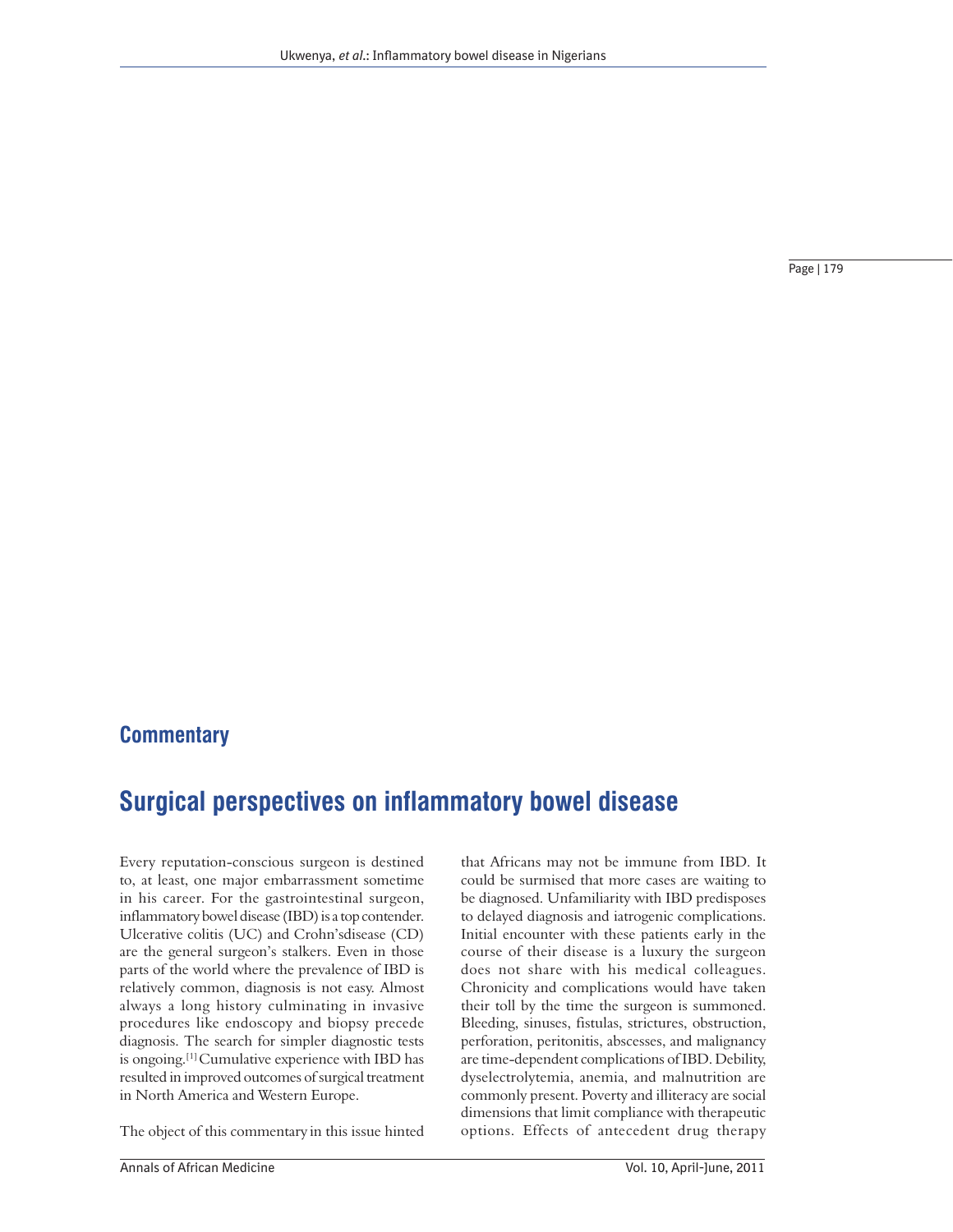Page | 179

## **Commentary**

# **Surgical perspectives on inflammatory bowel disease**

Every reputation-conscious surgeon is destined to, at least, one major embarrassment sometime in his career. For the gastrointestinal surgeon, inflammatory bowel disease (IBD) is a top contender. Ulcerative colitis (UC) and Crohn'sdisease (CD) are the general surgeon's stalkers. Even in those parts of the world where the prevalence of IBD is relatively common, diagnosis is not easy. Almost always a long history culminating in invasive procedures like endoscopy and biopsy precede diagnosis. The search for simpler diagnostic tests is ongoing.[1] Cumulative experience with IBD has resulted in improved outcomes of surgical treatment in North America and Western Europe.

The object of this commentary in this issue hinted

that Africans may not be immune from IBD. It could be surmised that more cases are waiting to be diagnosed. Unfamiliarity with IBD predisposes to delayed diagnosis and iatrogenic complications. Initial encounter with these patients early in the course of their disease is a luxury the surgeon does not share with his medical colleagues. Chronicity and complications would have taken their toll by the time the surgeon is summoned. Bleeding, sinuses, fistulas, strictures, obstruction, perforation, peritonitis, abscesses, and malignancy are time-dependent complications of IBD. Debility, dyselectrolytemia, anemia, and malnutrition are commonly present. Poverty and illiteracy are social dimensions that limit compliance with therapeutic options. Effects of antecedent drug therapy